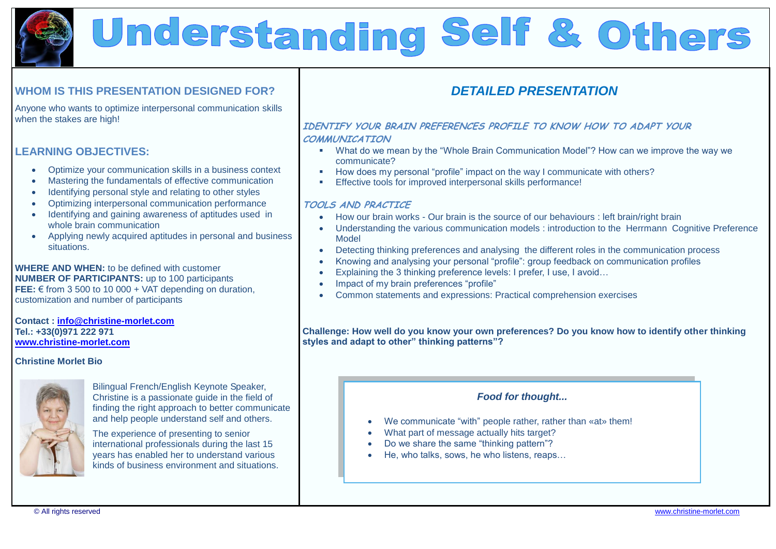

# Understanding Self & Others

## **WHOM IS THIS PRESENTATION DESIGNED FOR?**

Anyone who wants to optimize interpersonal communication skills when the stakes are high!

## **LEARNING OBJECTIVES:**

- Optimize your communication skills in a business context
- Mastering the fundamentals of effective communication
- Identifying personal style and relating to other styles
- Optimizing interpersonal communication performance
- Identifying and gaining awareness of aptitudes used in whole brain communication
- Applying newly acquired aptitudes in personal and business situations.

**WHERE AND WHEN:** to be defined with customer **NUMBER OF PARTICIPANTS:** up to 100 participants **FEE:** € from 3 500 to 10 000 + VAT depending on duration, customization and number of participants

#### **Contact : [info@christine-morlet.com](mailto:info@christine-morlet.com) Tel.: +33(0)971 222 971 [www.christine-morlet.com](http://www.christine-morlet.com/)**

## **Christine Morlet Bio**



Bilingual French/English Keynote Speaker, Christine is a passionate guide in the field of finding the right approach to better communicate and help people understand self and others.

The experience of presenting to senior international professionals during the last 15 years has enabled her to understand various kinds of business environment and situations.

# *DETAILED PRESENTATION*

## **IDENTIFY YOUR BRAIN PREFERENCES PROFILE TO KNOW HOW TO ADAPT YOUR COMMUNICATION**

- What do we mean by the "Whole Brain Communication Model"? How can we improve the way we communicate?
- How does my personal "profile" impact on the way I communicate with others?
- Effective tools for improved interpersonal skills performance!

## **TOOLS AND PRACTICE**

- How our brain works Our brain is the source of our behaviours : left brain/right brain
- Understanding the various communication models : introduction to the Herrmann Cognitive Preference Model
- Detecting thinking preferences and analysing the different roles in the communication process
- Knowing and analysing your personal "profile": group feedback on communication profiles
- Explaining the 3 thinking preference levels: I prefer, I use, I avoid…
- Impact of my brain preferences "profile"
- Common statements and expressions: Practical comprehension exercises

### **Challenge: How well do you know your own preferences? Do you know how to identify other thinking styles and adapt to other" thinking patterns"?**

## *Food for thought...*

- We communicate "with" people rather, rather than «at» them!
- What part of message actually hits target?
- Do we share the same "thinking pattern"?
- He, who talks, sows, he who listens, reaps...